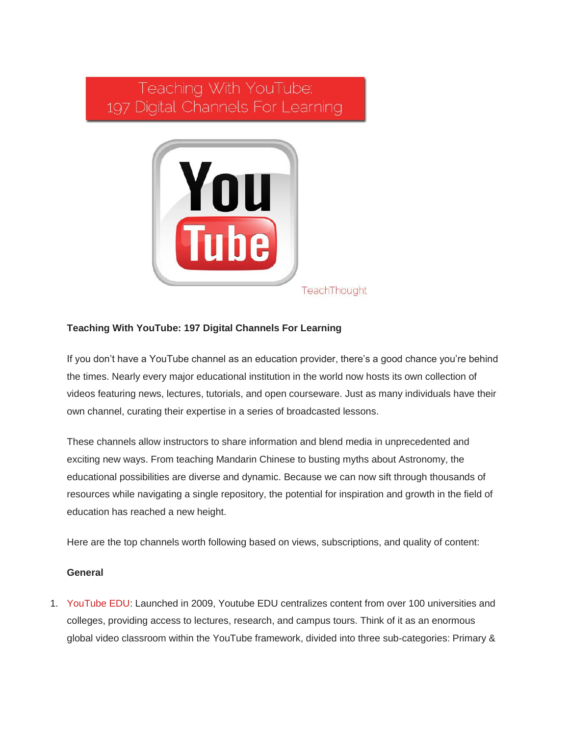# Teaching With YouTube: 197 Digital Channels For Learning



## **Teaching With YouTube: 197 Digital Channels For Learning**

If you don't have a YouTube channel as an education provider, there's a good chance you're behind the times. Nearly every major educational institution in the world now hosts its own collection of videos featuring news, lectures, tutorials, and open courseware. Just as many individuals have their own channel, curating their expertise in a series of broadcasted lessons.

These channels allow instructors to share information and blend media in unprecedented and exciting new ways. From teaching Mandarin Chinese to busting myths about Astronomy, the educational possibilities are diverse and dynamic. Because we can now sift through thousands of resources while navigating a single repository, the potential for inspiration and growth in the field of education has reached a new height.

Here are the top channels worth following based on views, subscriptions, and quality of content:

## **General**

1. [YouTube EDU:](http://www.youtube.com/education) Launched in 2009, Youtube EDU centralizes content from over 100 universities and colleges, providing access to lectures, research, and campus tours. Think of it as an enormous global video classroom within the YouTube framework, divided into three sub-categories: Primary &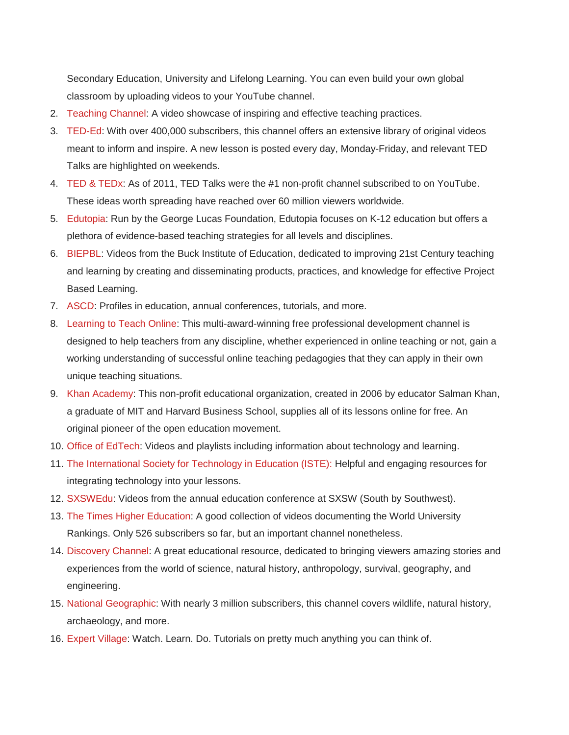Secondary Education, University and Lifelong Learning. You can even build your own global classroom by uploading videos to your YouTube channel.

- 2. [Teaching Channel:](http://www.youtube.com/user/TeachingChannel) A video showcase of inspiring and effective teaching practices.
- 3. [TED-Ed:](http://www.youtube.com/user/TEDEducation/about) With over 400,000 subscribers, this channel offers an extensive library of original videos meant to inform and inspire. A new lesson is posted every day, Monday-Friday, and relevant TED Talks are highlighted on weekends.
- 4. [TED & TEDx:](http://www.youtube.com/user/TEDtalksDirector) As of 2011, TED Talks were the #1 non-profit channel subscribed to on YouTube. These ideas worth spreading have reached over 60 million viewers worldwide.
- 5. [Edutopia:](http://www.youtube.com/user/edutopia) Run by the George Lucas Foundation, Edutopia focuses on K-12 education but offers a plethora of evidence-based teaching strategies for all levels and disciplines.
- 6. [BIEPBL:](http://www.youtube.com/user/BIEPBL/videos) Videos from the Buck Institute of Education, dedicated to improving 21st Century teaching and learning by creating and disseminating products, practices, and knowledge for effective Project Based Learning.
- 7. [ASCD:](http://www.youtube.com/user/ascdwholechild/videos) Profiles in education, annual conferences, tutorials, and more.
- 8. [Learning to Teach Online:](http://www.youtube.com/user/COFAonlineUNSW) This multi-award-winning free professional development channel is designed to help teachers from any discipline, whether experienced in online teaching or not, gain a working understanding of successful online teaching pedagogies that they can apply in their own unique teaching situations.
- 9. [Khan Academy:](http://www.youtube.com/user/khanacademy) This non-profit educational organization, created in 2006 by educator Salman Khan, a graduate of MIT and Harvard Business School, supplies all of its lessons online for free. An original pioneer of the open education movement.
- 10. [Office of EdTech:](http://www.youtube.com/user/OfficeOfEdTech) Videos and playlists including information about technology and learning.
- 11. [The International Society for Technology in Education \(ISTE\):](http://www.youtube.com/user/istevideos/videos) Helpful and engaging resources for integrating technology into your lessons.
- 12. [SXSWEdu:](http://www.youtube.com/user/SXSWEDU/about) Videos from the annual education conference at SXSW (South by Southwest).
- 13. [The Times Higher Education:](http://www.youtube.com/user/TimesHigherEducation/videos) A good collection of videos documenting the World University Rankings. Only 526 subscribers so far, but an important channel nonetheless.
- 14. [Discovery Channel:](http://www.youtube.com/user/DiscoveryNetworks) A great educational resource, dedicated to bringing viewers amazing stories and experiences from the world of science, natural history, anthropology, survival, geography, and engineering.
- 15. [National Geographic:](http://www.youtube.com/user/NationalGeographic) With nearly 3 million subscribers, this channel covers wildlife, natural history, archaeology, and more.
- 16. [Expert Village:](http://www.youtube.com/user/expertvillage) Watch. Learn. Do. Tutorials on pretty much anything you can think of.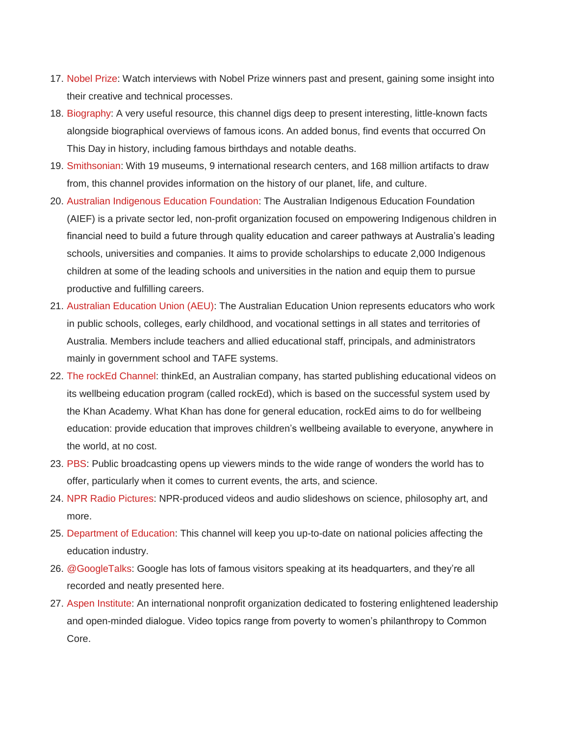- 17. [Nobel Prize:](http://www.youtube.com/user/thenobelprize) Watch interviews with Nobel Prize winners past and present, gaining some insight into their creative and technical processes.
- 18. [Biography:](http://www.youtube.com/user/BiographyChannel/about) A very useful resource, this channel digs deep to present interesting, little-known facts alongside biographical overviews of famous icons. An added bonus, find events that occurred On This Day in history, including famous birthdays and notable deaths.
- 19. [Smithsonian:](http://www.youtube.com/user/smithsonianchannel/about) With 19 museums, 9 international research centers, and 168 million artifacts to draw from, this channel provides information on the history of our planet, life, and culture.
- 20. [Australian Indigenous Education Foundation:](http://www.youtube.com/user/AIEFoundation) The Australian Indigenous Education Foundation (AIEF) is a private sector led, non-profit organization focused on empowering Indigenous children in financial need to build a future through quality education and career pathways at Australia's leading schools, universities and companies. It aims to provide scholarships to educate 2,000 Indigenous children at some of the leading schools and universities in the nation and equip them to pursue productive and fulfilling careers.
- 21. [Australian Education Union \(AEU\):](http://www.youtube.com/user/AEUFederal) The Australian Education Union represents educators who work in public schools, colleges, early childhood, and vocational settings in all states and territories of Australia. Members include teachers and allied educational staff, principals, and administrators mainly in government school and TAFE systems.
- 22. [The rockEd Channel:](http://www.youtube.com/user/thinkEdAust?feature=guide) thinkEd, an Australian company, has started publishing educational videos on its wellbeing education program (called rockEd), which is based on the successful system used by the Khan Academy. What Khan has done for general education, rockEd aims to do for wellbeing education: provide education that improves children's wellbeing available to everyone, anywhere in the world, at no cost.
- 23. [PBS:](http://www.youtube.com/user/PBS) Public broadcasting opens up viewers minds to the wide range of wonders the world has to offer, particularly when it comes to current events, the arts, and science.
- 24. [NPR Radio Pictures:](http://www.youtube.com/user/npr) NPR-produced videos and audio slideshows on science, philosophy art, and more.
- 25. [Department of Education:](http://www.youtube.com/user/usedgov) This channel will keep you up-to-date on national policies affecting the education industry.
- 26. [@GoogleTalks:](http://www.youtube.com/profile?user=AtGoogleTalks) Google has lots of famous visitors speaking at its headquarters, and they're all recorded and neatly presented here.
- 27. [Aspen Institute:](http://www.youtube.com/user/AspenInstitute/about) An international nonprofit organization dedicated to fostering enlightened leadership and open-minded dialogue. Video topics range from poverty to women's philanthropy to Common Core.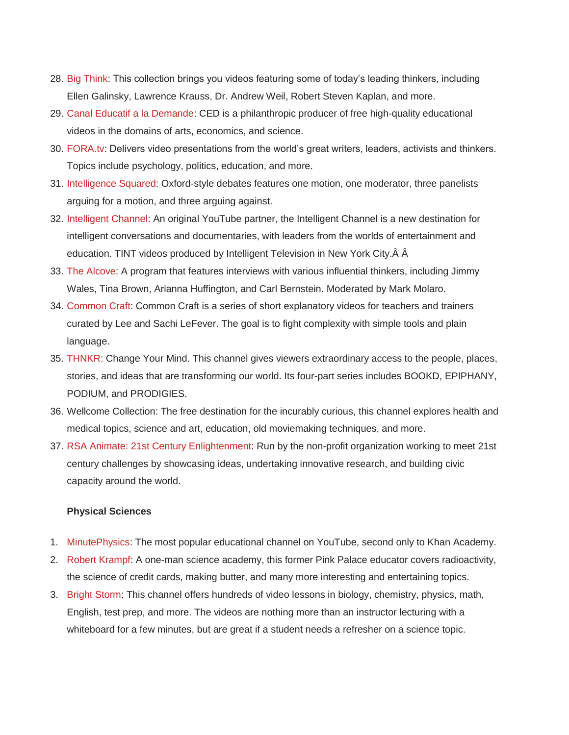- 28. [Big Think:](http://www.youtube.com/user/bigthink/about) This collection brings you videos featuring some of today's leading thinkers, including Ellen Galinsky, Lawrence Krauss, Dr. Andrew Weil, Robert Steven Kaplan, and more.
- 29. [Canal Educatif a la Demande:](http://www.youtube.com/user/canaleducatif) CED is a philanthropic producer of free high-quality educational videos in the domains of arts, economics, and science.
- 30. [FORA.tv:](http://www.youtube.com/user/ForaTv/videos) Delivers video presentations from the world's great writers, leaders, activists and thinkers. Topics include psychology, politics, education, and more.
- 31. [Intelligence Squared:](http://www.youtube.com/user/IntelligenceSquared/about) Oxford-style debates features one motion, one moderator, three panelists arguing for a motion, and three arguing against.
- 32. [Intelligent Channel:](http://www.youtube.com/user/IntelligentChannel/about) An original YouTube partner, the Intelligent Channel is a new destination for intelligent conversations and documentaries, with leaders from the worlds of entertainment and education. TINT videos produced by Intelligent Television in New York City.Â Â
- 33. [The Alcove:](http://www.youtube.com/user/MarkMolaro/about) A program that features interviews with various influential thinkers, including Jimmy Wales, Tina Brown, Arianna Huffington, and Carl Bernstein. Moderated by Mark Molaro.
- 34. [Common Craft:](http://www.youtube.com/user/leelefever/about) Common Craft is a series of short explanatory videos for teachers and trainers curated by Lee and Sachi LeFever. The goal is to fight complexity with simple tools and plain language.
- 35. [THNKR:](http://www.youtube.com/user/thnkrtv/about) Change Your Mind. This channel gives viewers extraordinary access to the people, places, stories, and ideas that are transforming our world. Its four-part series includes BOOKD, EPIPHANY, PODIUM, and PRODIGIES.
- 36. Wellcome Collection: The free destination for the incurably curious, this channel explores health and medical topics, science and art, education, old moviemaking techniques, and more.
- 37. [RSA Animate: 21st Century Enlightenment:](http://www.youtube.com/user/theRSAorg/about) Run by the non-profit organization working to meet 21st century challenges by showcasing ideas, undertaking innovative research, and building civic capacity around the world.

#### **Physical Sciences**

- 1. [MinutePhysics:](http://www.youtube.com/user/minutephysics/about) The most popular educational channel on YouTube, second only to Khan Academy.
- 2. [Robert Krampf:](http://www.youtube.com/user/RobertKrampf) A one-man science academy, this former Pink Palace educator covers radioactivity, the science of credit cards, making butter, and many more interesting and entertaining topics.
- 3. [Bright Storm:](http://www.youtube.com/user/brightstorm2/about) This channel offers hundreds of video lessons in biology, chemistry, physics, math, English, test prep, and more. The videos are nothing more than an instructor lecturing with a whiteboard for a few minutes, but are great if a student needs a refresher on a science topic.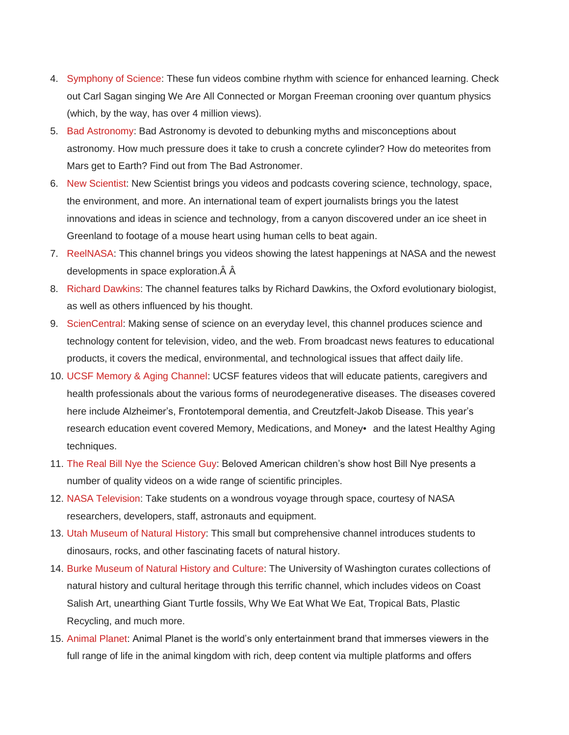- 4. [Symphony of Science:](http://www.youtube.com/user/melodysheep/about) These fun videos combine rhythm with science for enhanced learning. Check out Carl Sagan singing We Are All Connected or Morgan Freeman crooning over quantum physics (which, by the way, has over 4 million views).
- 5. [Bad Astronomy:](http://www.youtube.com/user/TheBadAstronomer/videos) Bad Astronomy is devoted to debunking myths and misconceptions about astronomy. How much pressure does it take to crush a concrete cylinder? How do meteorites from Mars get to Earth? Find out from The Bad Astronomer.
- 6. [New Scientist:](http://www.youtube.com/user/newscientistvideo/videos) New Scientist brings you videos and podcasts covering science, technology, space, the environment, and more. An international team of expert journalists brings you the latest innovations and ideas in science and technology, from a canyon discovered under an ice sheet in Greenland to footage of a mouse heart using human cells to beat again.
- 7. [ReelNASA:](http://www.youtube.com/user/ReelNASA/about) This channel brings you videos showing the latest happenings at NASA and the newest developments in space exploration.Â Â
- 8. [Richard Dawkins:](http://www.youtube.com/channel/HCJcMbgOeG9QI/about) The channel features talks by Richard Dawkins, the Oxford evolutionary biologist, as well as others influenced by his thought.
- 9. [ScienCentral:](http://www.youtube.com/user/sciencentral/videos) Making sense of science on an everyday level, this channel produces science and technology content for television, video, and the web. From broadcast news features to educational products, it covers the medical, environmental, and technological issues that affect daily life.
- 10. [UCSF Memory & Aging Channel:](http://www.youtube.com/user/UCSFMemoryandAging/about) UCSF features videos that will educate patients, caregivers and health professionals about the various forms of neurodegenerative diseases. The diseases covered here include Alzheimer's, Frontotemporal dementia, and Creutzfelt-Jakob Disease. This year's research education event covered Memory, Medications, and Money• and the latest Healthy Aging techniques.
- 11. [The Real Bill Nye the Science Guy:](http://www.youtube.com/user/TheRealBillNye) Beloved American children's show host Bill Nye presents a number of quality videos on a wide range of scientific principles.
- 12. [NASA Television:](http://www.youtube.com/user/nasatelevision?blend=1&ob=4) Take students on a wondrous voyage through space, courtesy of NASA researchers, developers, staff, astronauts and equipment.
- 13. [Utah Museum of Natural History:](http://www.youtube.com/user/UtahMuseumofNH) This small but comprehensive channel introduces students to dinosaurs, rocks, and other fascinating facets of natural history.
- 14. [Burke Museum of Natural History and Culture:](http://www.youtube.com/user/burkemuseum) The University of Washington curates collections of natural history and cultural heritage through this terrific channel, which includes videos on Coast Salish Art, unearthing Giant Turtle fossils, Why We Eat What We Eat, Tropical Bats, Plastic Recycling, and much more.
- 15. [Animal Planet:](http://www.youtube.com/user/AnimalPlanetTV) Animal Planet is the world's only entertainment brand that immerses viewers in the full range of life in the animal kingdom with rich, deep content via multiple platforms and offers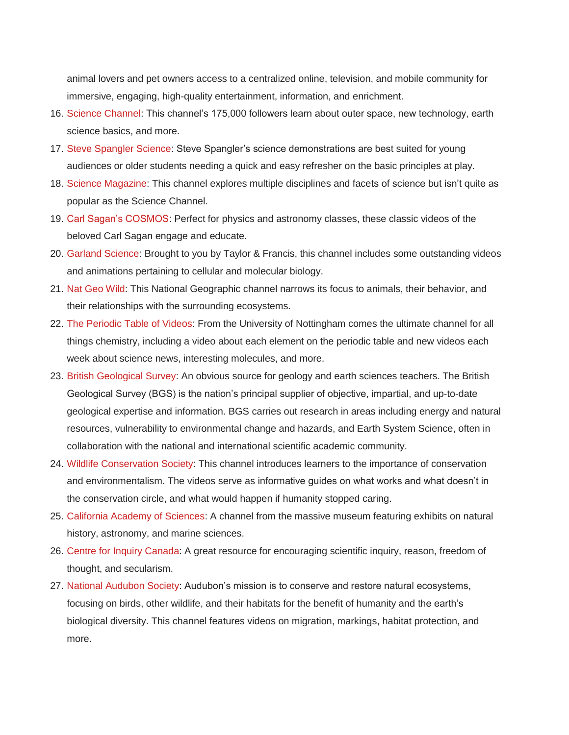animal lovers and pet owners access to a centralized online, television, and mobile community for immersive, engaging, high-quality entertainment, information, and enrichment.

- 16. [Science Channel:](http://www.youtube.com/user/ScienceChannel) This channel's 175,000 followers learn about outer space, new technology, earth science basics, and more.
- 17. [Steve Spangler Science:](http://www.youtube.com/user/Stevespanglerscience) Steve Spangler's science demonstrations are best suited for young audiences or older students needing a quick and easy refresher on the basic principles at play.
- 18. [Science Magazine:](http://www.youtube.com/user/ScienceMagazine) This channel explores multiple disciplines and facets of science but isn't quite as popular as the Science Channel.
- 19. [Carl Sagan's COSMOS:](http://www.youtube.com/user/SagansCosmos) Perfect for physics and astronomy classes, these classic videos of the beloved Carl Sagan engage and educate.
- 20. [Garland Science:](http://www.youtube.com/user/garlandscience) Brought to you by Taylor & Francis, this channel includes some outstanding videos and animations pertaining to cellular and molecular biology.
- 21. [Nat Geo Wild:](http://www.youtube.com/user/NatGeoWiLd) This National Geographic channel narrows its focus to animals, their behavior, and their relationships with the surrounding ecosystems.
- 22. [The Periodic Table of Videos:](http://www.youtube.com/user/periodicvideos) From the University of Nottingham comes the ultimate channel for all things chemistry, including a video about each element on the periodic table and new videos each week about science news, interesting molecules, and more.
- 23. [British Geological Survey:](http://www.youtube.com/user/bgschannel) An obvious source for geology and earth sciences teachers. The British Geological Survey (BGS) is the nation's principal supplier of objective, impartial, and up-to-date geological expertise and information. BGS carries out research in areas including energy and natural resources, vulnerability to environmental change and hazards, and Earth System Science, often in collaboration with the national and international scientific academic community.
- 24. [Wildlife Conservation Society:](http://www.youtube.com/user/WCSMedia) This channel introduces learners to the importance of conservation and environmentalism. The videos serve as informative guides on what works and what doesn't in the conservation circle, and what would happen if humanity stopped caring.
- 25. [California Academy of Sciences:](http://www.youtube.com/user/calacademy) A channel from the massive museum featuring exhibits on natural history, astronomy, and marine sciences.
- 26. [Centre for Inquiry Canada:](http://www.youtube.com/user/CFIOntario) A great resource for encouraging scientific inquiry, reason, freedom of thought, and secularism.
- 27. [National Audubon Society:](http://www.youtube.com/user/NationalAudubon) Audubon's mission is to conserve and restore natural ecosystems, focusing on birds, other wildlife, and their habitats for the benefit of humanity and the earth's biological diversity. This channel features videos on migration, markings, habitat protection, and more.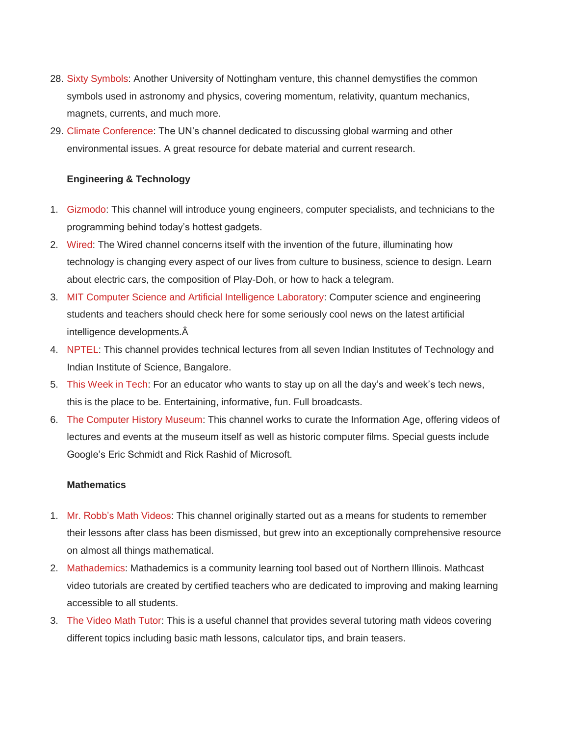- 28. [Sixty Symbols:](http://www.youtube.com/user/sixtysymbols) Another University of Nottingham venture, this channel demystifies the common symbols used in astronomy and physics, covering momentum, relativity, quantum mechanics, magnets, currents, and much more.
- 29. [Climate Conference:](http://www.youtube.com/user/climateconference) The UN's channel dedicated to discussing global warming and other environmental issues. A great resource for debate material and current research.

## **Engineering & Technology**

- 1. [Gizmodo:](http://www.youtube.com/user/gizmodo) This channel will introduce young engineers, computer specialists, and technicians to the programming behind today's hottest gadgets.
- 2. [Wired:](http://www.youtube.com/user/wired) The Wired channel concerns itself with the invention of the future, illuminating how technology is changing every aspect of our lives from culture to business, science to design. Learn about electric cars, the composition of Play-Doh, or how to hack a telegram.
- 3. [MIT Computer Science and Artificial Intelligence Laboratory:](http://www.youtube.com/user/MITCSAIL) Computer science and engineering students and teachers should check here for some seriously cool news on the latest artificial intelligence developments.Â
- 4. [NPTEL:](http://www.youtube.com/user/nptelhrd) This channel provides technical lectures from all seven Indian Institutes of Technology and Indian Institute of Science, Bangalore.
- 5. [This Week in Tech:](http://www.youtube.com/user/ThisWeekinTech) For an educator who wants to stay up on all the day's and week's tech news, this is the place to be. Entertaining, informative, fun. Full broadcasts.
- 6. [The Computer History Museum:](http://www.youtube.com/user/ComputerHistory) This channel works to curate the Information Age, offering videos of lectures and events at the museum itself as well as historic computer films. Special guests include Google's Eric Schmidt and Rick Rashid of Microsoft.

## **Mathematics**

- 1. [Mr. Robb's Math Videos:](http://www.youtube.com/user/RobbWorld) This channel originally started out as a means for students to remember their lessons after class has been dismissed, but grew into an exceptionally comprehensive resource on almost all things mathematical.
- 2. [Mathademics:](http://www.youtube.com/user/Mathademics) Mathademics is a community learning tool based out of Northern Illinois. Mathcast video tutorials are created by certified teachers who are dedicated to improving and making learning accessible to all students.
- 3. [The Video Math Tutor:](http://www.youtube.com/user/videomathtutor) This is a useful channel that provides several tutoring math videos covering different topics including basic math lessons, calculator tips, and brain teasers.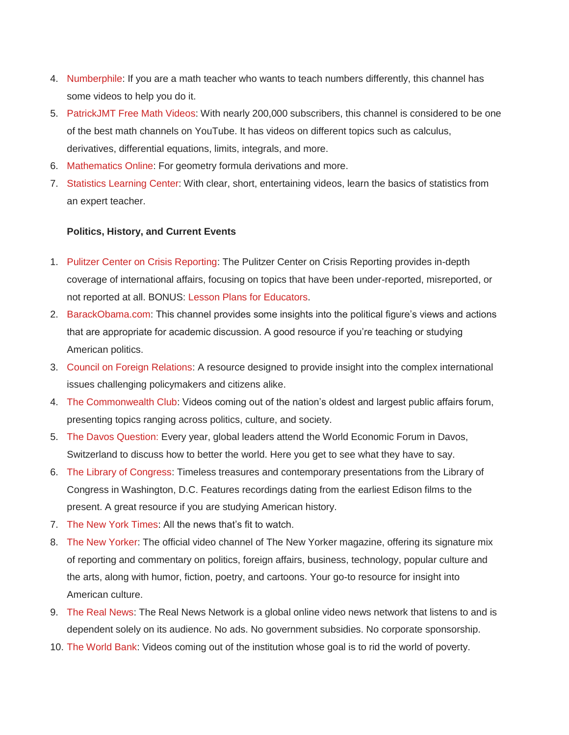- 4. [Numberphile:](http://www.youtube.com/user/numberphile/about) If you are a math teacher who wants to teach numbers differently, this channel has some videos to help you do it.
- 5. [PatrickJMT Free Math Videos:](http://www.youtube.com/user/patrickJMT/about) With nearly 200,000 subscribers, this channel is considered to be one of the best math channels on YouTube. It has videos on different topics such as calculus, derivatives, differential equations, limits, integrals, and more.
- 6. [Mathematics Online:](http://www.youtube.com/user/mathematicsonline/about) For geometry formula derivations and more.
- 7. [Statistics Learning Center:](http://www.youtube.com/user/CreativeHeuristics) With clear, short, entertaining videos, learn the basics of statistics from an expert teacher.

## **Politics, History, and Current Events**

- 1. [Pulitzer Center on Crisis Reporting:](http://www.youtube.com/user/PulitzerCenter/about) The Pulitzer Center on Crisis Reporting provides in-depth coverage of international affairs, focusing on topics that have been under-reported, misreported, or not reported at all. BONUS: [Lesson Plans for Educators.](http://pulitzercenter.org/education/lesson-plans)
- 2. [BarackObama.com:](http://www.youtube.com/user/BarackObamadotcom) This channel provides some insights into the political figure's views and actions that are appropriate for academic discussion. A good resource if you're teaching or studying American politics.
- 3. [Council on Foreign Relations:](http://www.youtube.com/user/cfr/about) A resource designed to provide insight into the complex international issues challenging policymakers and citizens alike.
- 4. [The Commonwealth Club:](http://www.youtube.com/user/commonwealthclub/videos) Videos coming out of the nation's oldest and largest public affairs forum, presenting topics ranging across politics, culture, and society.
- 5. [The Davos Question:](http://www.youtube.com/user/thedavosquestion) Every year, global leaders attend the World Economic Forum in Davos, Switzerland to discuss how to better the world. Here you get to see what they have to say.
- 6. [The Library of Congress:](http://www.youtube.com/user/LibraryOfCongress/about) Timeless treasures and contemporary presentations from the Library of Congress in Washington, D.C. Features recordings dating from the earliest Edison films to the present. A great resource if you are studying American history.
- 7. [The New York Times:](http://www.youtube.com/user/TheNewYorkTimes/about) All the news that's fit to watch.
- 8. [The New Yorker:](http://www.youtube.com/user/NewYorkerDotCom) The official video channel of The New Yorker magazine, offering its signature mix of reporting and commentary on politics, foreign affairs, business, technology, popular culture and the arts, along with humor, fiction, poetry, and cartoons. Your go-to resource for insight into American culture.
- 9. [The Real News:](http://www.youtube.com/user/TheRealNews/about) The Real News Network is a global online video news network that listens to and is dependent solely on its audience. No ads. No government subsidies. No corporate sponsorship.
- 10. [The World Bank:](http://www.youtube.com/user/WorldBank/about) Videos coming out of the institution whose goal is to rid the world of poverty.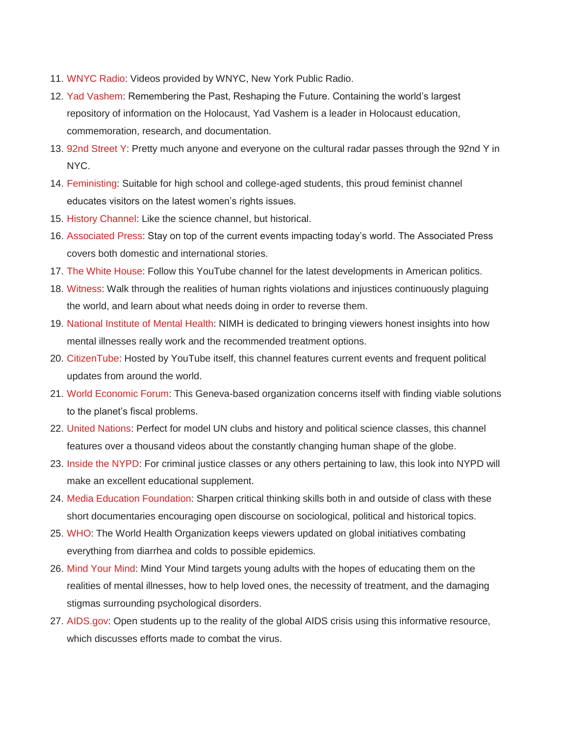- 11. [WNYC Radio:](http://www.youtube.com/user/wnycradio/about) Videos provided by WNYC, New York Public Radio.
- 12. [Yad Vashem:](http://www.youtube.com/user/YadVashem/about) Remembering the Past, Reshaping the Future. Containing the world's largest repository of information on the Holocaust, Yad Vashem is a leader in Holocaust education, commemoration, research, and documentation.
- 13. [92nd Street Y:](http://www.youtube.com/user/92ndStreetY/videos) Pretty much anyone and everyone on the cultural radar passes through the 92nd Y in NYC.
- 14. [Feministing:](http://www.youtube.com/user/feministing) Suitable for high school and college-aged students, this proud feminist channel educates visitors on the latest women's rights issues.
- 15. [History Channel:](http://www.youtube.com/user/historychannel) Like the science channel, but historical.
- 16. [Associated Press:](http://www.youtube.com/user/associatedpress) Stay on top of the current events impacting today's world. The Associated Press covers both domestic and international stories.
- 17. [The White House:](http://www.youtube.com/user/whitehouse) Follow this YouTube channel for the latest developments in American politics.
- 18. [Witness:](http://www.youtube.com/user/Witness) Walk through the realities of human rights violations and injustices continuously plaguing the world, and learn about what needs doing in order to reverse them.
- 19. [National Institute of Mental Health:](http://www.youtube.com/user/NIMHgov) NIMH is dedicated to bringing viewers honest insights into how mental illnesses really work and the recommended treatment options.
- 20. [CitizenTube:](http://www.youtube.com/user/citizentube) Hosted by YouTube itself, this channel features current events and frequent political updates from around the world.
- 21. [World Economic Forum:](http://www.youtube.com/user/WorldEconomicForum) This Geneva-based organization concerns itself with finding viable solutions to the planet's fiscal problems.
- 22. [United Nations:](http://www.youtube.com/user/unitednations) Perfect for model UN clubs and history and political science classes, this channel features over a thousand videos about the constantly changing human shape of the globe.
- 23. [Inside the NYPD:](http://www.youtube.com/user/insideNYPD) For criminal justice classes or any others pertaining to law, this look into NYPD will make an excellent educational supplement.
- 24. [Media Education Foundation:](http://www.youtube.com/user/ChallengingMedia) Sharpen critical thinking skills both in and outside of class with these short documentaries encouraging open discourse on sociological, political and historical topics.
- 25. [WHO:](http://www.youtube.com/user/who) The World Health Organization keeps viewers updated on global initiatives combating everything from diarrhea and colds to possible epidemics.
- 26. [Mind Your Mind:](http://www.youtube.com/user/mindyourmind) Mind Your Mind targets young adults with the hopes of educating them on the realities of mental illnesses, how to help loved ones, the necessity of treatment, and the damaging stigmas surrounding psychological disorders.
- 27. [AIDS.gov:](http://www.youtube.com/user/aidsgov) Open students up to the reality of the global AIDS crisis using this informative resource, which discusses efforts made to combat the virus.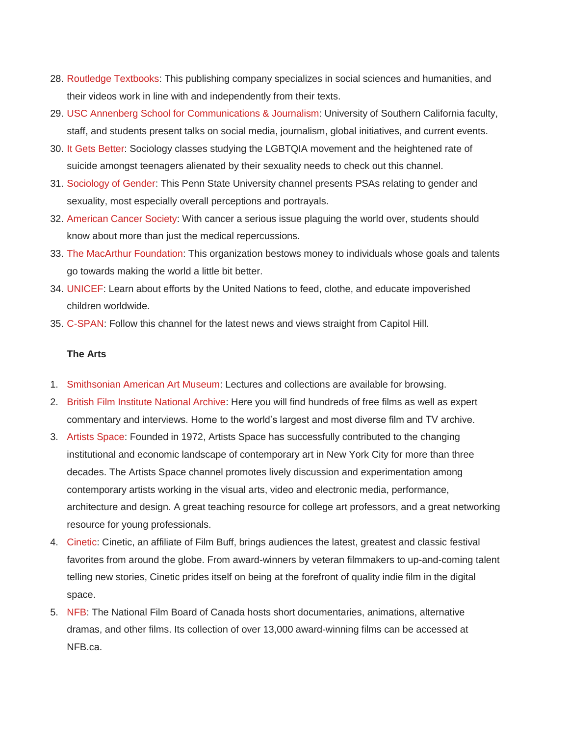- 28. [Routledge Textbooks:](http://www.youtube.com/user/RoutledgeTextbooks) This publishing company specializes in social sciences and humanities, and their videos work in line with and independently from their texts.
- 29. USC [Annenberg School for Communications & Journalism:](http://www.youtube.com/user/USCAnnenberg) University of Southern California faculty, staff, and students present talks on social media, journalism, global initiatives, and current events.
- 30. [It Gets Better:](http://www.youtube.com/user/itgetsbetterproject) Sociology classes studying the LGBTQIA movement and the heightened rate of suicide amongst teenagers alienated by their sexuality needs to check out this channel.
- 31. [Sociology of Gender:](http://www.youtube.com/user/SociologyOfGender) This Penn State University channel presents PSAs relating to gender and sexuality, most especially overall perceptions and portrayals.
- 32. [American Cancer Society:](http://www.youtube.com/user/AmerCancerSociety) With cancer a serious issue plaguing the world over, students should know about more than just the medical repercussions.
- 33. [The MacArthur Foundation:](http://www.youtube.com/user/macfound) This organization bestows money to individuals whose goals and talents go towards making the world a little bit better.
- 34. [UNICEF:](http://www.youtube.com/user/unicef) Learn about efforts by the United Nations to feed, clothe, and educate impoverished children worldwide.
- 35. [C-SPAN:](http://www.youtube.com/user/CSPAN) Follow this channel for the latest news and views straight from Capitol Hill.

## **The Arts**

- 1. [Smithsonian American Art Museum:](http://www.youtube.com/user/americanartmuseum) Lectures and collections are available for browsing.
- 2. [British Film Institute National Archive:](http://www.youtube.com/user/BFIfilms) Here you will find hundreds of free films as well as expert commentary and interviews. Home to the world's largest and most diverse film and TV archive.
- 3. [Artists Space:](http://www.youtube.com/user/ArtistsSpace) Founded in 1972, Artists Space has successfully contributed to the changing institutional and economic landscape of contemporary art in New York City for more than three decades. The Artists Space channel promotes lively discussion and experimentation among contemporary artists working in the visual arts, video and electronic media, performance, architecture and design. A great teaching resource for college art professors, and a great networking resource for young professionals.
- 4. [Cinetic:](http://www.youtube.com/user/Cinetic) Cinetic, an affiliate of Film Buff, brings audiences the latest, greatest and classic festival favorites from around the globe. From award-winners by veteran filmmakers to up-and-coming talent telling new stories, Cinetic prides itself on being at the forefront of quality indie film in the digital space.
- 5. [NFB:](http://www.youtube.com/user/Cinetic) The National Film Board of Canada hosts short documentaries, animations, alternative dramas, and other films. Its collection of over 13,000 award-winning films can be accessed at NFB.ca.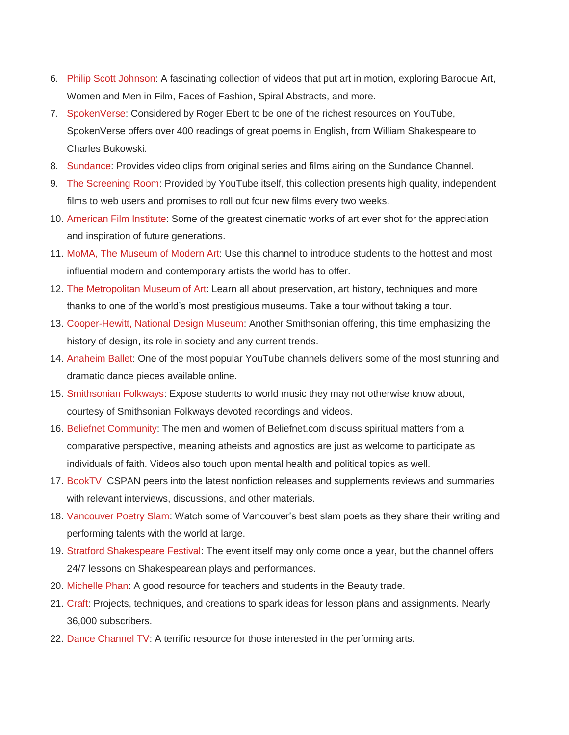- 6. [Philip Scott Johnson:](http://www.youtube.com/user/eggman913/videos) A fascinating collection of videos that put art in motion, exploring Baroque Art, Women and Men in Film, Faces of Fashion, Spiral Abstracts, and more.
- 7. [SpokenVerse:](http://www.youtube.com/user/SpokenVerse) Considered by Roger Ebert to be one of the richest resources on YouTube, SpokenVerse offers over 400 readings of great poems in English, from William Shakespeare to Charles Bukowski.
- 8. [Sundance:](http://www.youtube.com/user/sundancechannel) Provides video clips from original series and films airing on the Sundance Channel.
- 9. [The Screening Room:](http://www.youtube.com/user/ytscreeningroom/about) Provided by YouTube itself, this collection presents high quality, independent films to web users and promises to roll out four new films every two weeks.
- 10. [American Film Institute:](http://www.youtube.com/user/afi) Some of the greatest cinematic works of art ever shot for the appreciation and inspiration of future generations.
- 11. [MoMA, The Museum of Modern Art:](http://www.youtube.com/user/MoMAvideos) Use this channel to introduce students to the hottest and most influential modern and contemporary artists the world has to offer.
- 12. [The Metropolitan Museum of Art:](http://www.youtube.com/user/metmuseum) Learn all about preservation, art history, techniques and more thanks to one of the world's most prestigious museums. Take a tour without taking a tour.
- 13. [Cooper-Hewitt, National Design Museum:](http://www.youtube.com/user/cooperhewitt) Another Smithsonian offering, this time emphasizing the history of design, its role in society and any current trends.
- 14. [Anaheim Ballet:](http://www.youtube.com/user/AnaheimBallet) One of the most popular YouTube channels delivers some of the most stunning and dramatic dance pieces available online.
- 15. [Smithsonian Folkways:](http://www.youtube.com/user/SmithsonianFolkways) Expose students to world music they may not otherwise know about, courtesy of Smithsonian Folkways devoted recordings and videos.
- 16. [Beliefnet Community:](http://www.youtube.com/user/BeliefnetCommunity) The men and women of Beliefnet.com discuss spiritual matters from a comparative perspective, meaning atheists and agnostics are just as welcome to participate as individuals of faith. Videos also touch upon mental health and political topics as well.
- 17. [BookTV:](http://www.youtube.com/user/BookTV) CSPAN peers into the latest nonfiction releases and supplements reviews and summaries with relevant interviews, discussions, and other materials.
- 18. [Vancouver Poetry Slam:](http://www.youtube.com/user/PoetrySlamVancouver) Watch some of Vancouver's best slam poets as they share their writing and performing talents with the world at large.
- 19. [Stratford Shakespeare Festival:](http://www.youtube.com/user/stratfordfestival) The event itself may only come once a year, but the channel offers 24/7 lessons on Shakespearean plays and performances.
- 20. [Michelle Phan:](http://www.youtube.com/user/MichellePhan) A good resource for teachers and students in the Beauty trade.
- 21. [Craft:](http://www.youtube.com/user/craftzine) Projects, techniques, and creations to spark ideas for lesson plans and assignments. Nearly 36,000 subscribers.
- 22. [Dance Channel TV:](http://www.youtube.com/user/DanceChannelTV) A terrific resource for those interested in the performing arts.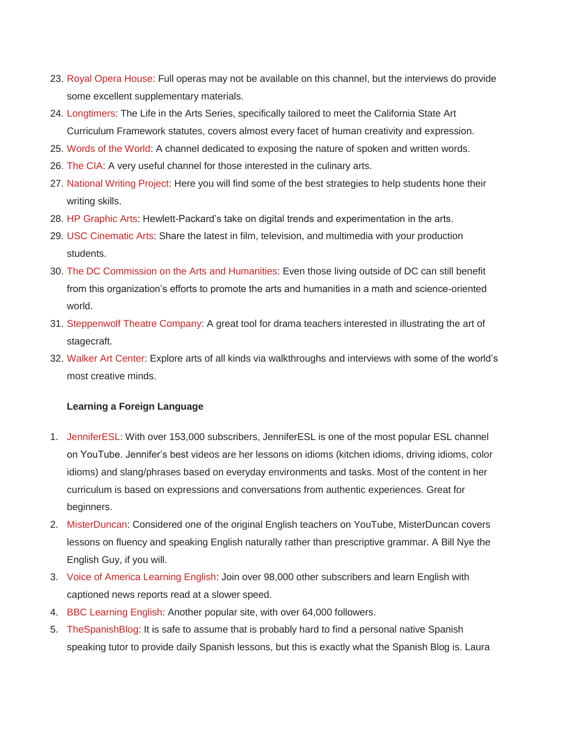- 23. [Royal Opera House:](http://www.youtube.com/user/royaloperahouse) Full operas may not be available on this channel, but the interviews do provide some excellent supplementary materials.
- 24. [Longtimers:](http://www.youtube.com/user/longtimers) The Life in the Arts Series, specifically tailored to meet the California State Art Curriculum Framework statutes, covers almost every facet of human creativity and expression.
- 25. [Words of the World:](http://www.youtube.com/user/wordsoftheworld) A channel dedicated to exposing the nature of spoken and written words.
- 26. [The CIA:](http://www.youtube.com/user/CIANetwork) A very useful channel for those interested in the culinary arts.
- 27. [National Writing Project:](http://www.youtube.com/user/NatlWritingProject) Here you will find some of the best strategies to help students hone their writing skills.
- 28. [HP Graphic Arts:](http://www.youtube.com/user/HPGraphicArts) Hewlett-Packard's take on digital trends and experimentation in the arts.
- 29. [USC Cinematic Arts:](http://www.youtube.com/user/USCCinematicArts) Share the latest in film, television, and multimedia with your production students.
- 30. [The DC Commission on the Arts and Humanities:](http://www.youtube.com/user/TheDCARTS) Even those living outside of DC can still benefit from this organization's efforts to promote the arts and humanities in a math and science-oriented world.
- 31. [Steppenwolf Theatre Company:](http://www.youtube.com/user/steppenwolftheatre) A great tool for drama teachers interested in illustrating the art of stagecraft.
- 32. [Walker Art Center:](http://www.youtube.com/user/walkerartcenter) Explore arts of all kinds via walkthroughs and interviews with some of the world's most creative minds.

## **Learning a Foreign Language**

- 1. [JenniferESL:](http://www.youtube.com/user/JenniferESL/about) With over 153,000 subscribers, JenniferESL is one of the most popular ESL channel on YouTube. Jennifer's best videos are her lessons on idioms (kitchen idioms, driving idioms, color idioms) and slang/phrases based on everyday environments and tasks. Most of the content in her curriculum is based on expressions and conversations from authentic experiences. Great for beginners.
- 2. [MisterDuncan:](http://www.youtube.com/user/duncaninchina/videos) Considered one of the original English teachers on YouTube, MisterDuncan covers lessons on fluency and speaking English naturally rather than prescriptive grammar. A Bill Nye the English Guy, if you will.
- 3. [Voice of America Learning English:](http://www.youtube.com/user/VOALearningEnglish/about) Join over 98,000 other subscribers and learn English with captioned news reports read at a slower speed.
- 4. [BBC Learning English:](http://www.youtube.com/user/bbclearningenglish/about) Another popular site, with over 64,000 followers.
- 5. [TheSpanishBlog:](http://www.youtube.com/user/thespanishblog) It is safe to assume that is probably hard to find a personal native Spanish speaking tutor to provide daily Spanish lessons, but this is exactly what the Spanish Blog is. Laura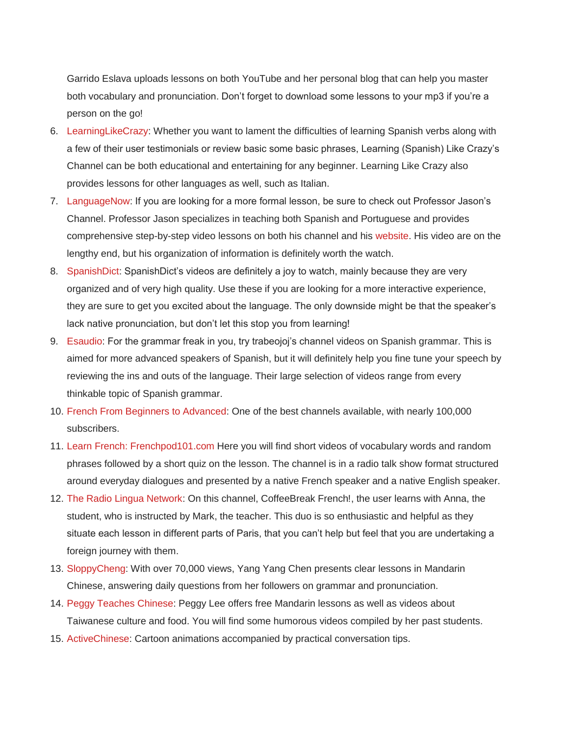Garrido Eslava uploads lessons on both YouTube and her personal blog that can help you master both vocabulary and pronunciation. Don't forget to download some lessons to your mp3 if you're a person on the go!

- 6. [LearningLikeCrazy:](http://www.youtube.com/user/LearningLikeCrazy) Whether you want to lament the difficulties of learning Spanish verbs along with a few of their user testimonials or review basic some basic phrases, Learning (Spanish) Like Crazy's Channel can be both educational and entertaining for any beginner. Learning Like Crazy also provides lessons for other languages as well, such as Italian.
- 7. [LanguageNow:](http://www.youtube.com/user/languagenow) If you are looking for a more formal lesson, be sure to check out Professor Jason's Channel. Professor Jason specializes in teaching both Spanish and Portuguese and provides comprehensive step-by-step video lessons on both his channel and his [website.](http://blog.brainscape.com/2011/04/youtube-channels-learn-spanish/) His video are on the lengthy end, but his organization of information is definitely worth the watch.
- 8. [SpanishDict:](http://www.youtube.com/user/SpanishDict) SpanishDict's videos are definitely a joy to watch, mainly because they are very organized and of very high quality. Use these if you are looking for a more interactive experience, they are sure to get you excited about the language. The only downside might be that the speaker's lack native pronunciation, but don't let this stop you from learning!
- 9. [Esaudio:](http://www.youtube.com/user/esaudio) For the grammar freak in you, try trabeojoj's channel videos on Spanish grammar. This is aimed for more advanced speakers of Spanish, but it will definitely help you fine tune your speech by reviewing the ins and outs of the language. Their large selection of videos range from every thinkable topic of Spanish grammar.
- 10. [French From Beginners to Advanced:](http://www.youtube.com/user/imagiers) One of the best channels available, with nearly 100,000 subscribers.
- 11. [Learn French: Frenchpod101.com](http://www.youtube.com/user/frenchpod101) Here you will find short videos of vocabulary words and random phrases followed by a short quiz on the lesson. The channel is in a radio talk show format structured around everyday dialogues and presented by a native French speaker and a native English speaker.
- 12. [The Radio Lingua Network:](http://www.youtube.com/user/radiolingua) On this channel, CoffeeBreak French!, the user learns with Anna, the student, who is instructed by Mark, the teacher. This duo is so enthusiastic and helpful as they situate each lesson in different parts of Paris, that you can't help but feel that you are undertaking a foreign journey with them.
- 13. [SloppyCheng:](http://www.youtube.com/user/sloppycheng) With over 70,000 views, Yang Yang Chen presents clear lessons in Mandarin Chinese, answering daily questions from her followers on grammar and pronunciation.
- 14. [Peggy Teaches Chinese:](http://www.youtube.com/user/PeggyTeachesChinese) Peggy Lee offers free Mandarin lessons as well as videos about Taiwanese culture and food. You will find some humorous videos compiled by her past students.
- 15. [ActiveChinese:](http://www.youtube.com/user/ActiveChinese/videos) Cartoon animations accompanied by practical conversation tips.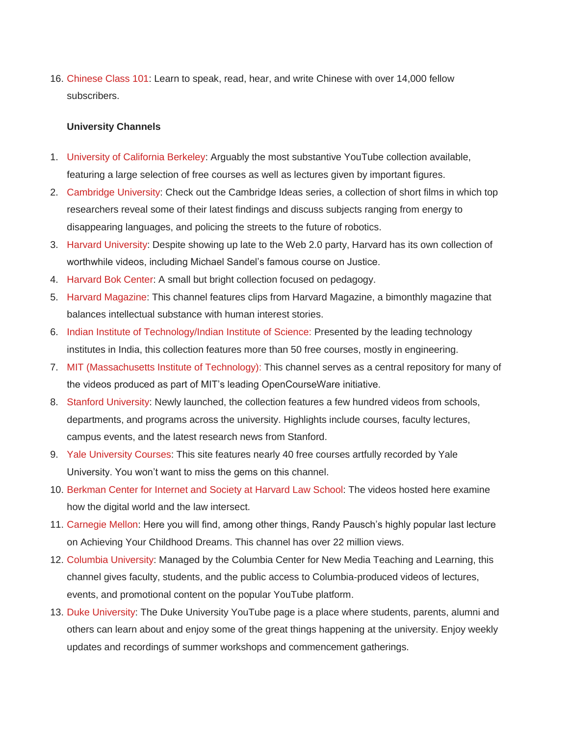16. [Chinese Class 101:](http://www.youtube.com/user/chineseclass101/about) Learn to speak, read, hear, and write Chinese with over 14,000 fellow subscribers.

## **University Channels**

- 1. [University of California Berkeley:](http://www.youtube.com/user/UCBerkeley) Arguably the most substantive YouTube collection available, featuring a large selection of free courses as well as lectures given by important figures.
- 2. [Cambridge University:](http://www.youtube.com/user/CambridgeUniversity) Check out the Cambridge Ideas series, a collection of short films in which top researchers reveal some of their latest findings and discuss subjects ranging from energy to disappearing languages, and policing the streets to the future of robotics.
- 3. [Harvard University:](http://www.youtube.com/user/Harvard) Despite showing up late to the Web 2.0 party, Harvard has its own collection of worthwhile videos, including Michael Sandel's famous course on Justice.
- 4. [Harvard Bok Center:](http://www.youtube.com/user/BokCenter) A small but bright collection focused on pedagogy.
- 5. [Harvard Magazine:](http://www.youtube.com/user/HarvardMagazine) This channel features clips from Harvard Magazine, a bimonthly magazine that balances intellectual substance with human interest stories.
- 6. [Indian Institute of Technology/Indian Institute of Science:](http://www.youtube.com/user/nptelhrd) Presented by the leading technology institutes in India, this collection features more than 50 free courses, mostly in engineering.
- 7. [MIT \(Massachusetts Institute of Technology\):](http://www.youtube.com/user/MIT) This channel serves as a central repository for many of the videos produced as part of MIT's leading OpenCourseWare initiative.
- 8. [Stanford University:](http://www.youtube.com/user/StanfordUniversity) Newly launched, the collection features a few hundred videos from schools, departments, and programs across the university. Highlights include courses, faculty lectures, campus events, and the latest research news from Stanford.
- 9. [Yale University Courses:](http://www.youtube.com/user/YaleCourses) This site features nearly 40 free courses artfully recorded by Yale University. You won't want to miss the gems on this channel.
- 10. [Berkman Center for Internet and Society at Harvard Law School:](http://www.youtube.com/user/BerkmanCenter) The videos hosted here examine how the digital world and the law intersect.
- 11. [Carnegie Mellon:](http://www.youtube.com/user/CarnegieMellonU) Here you will find, among other things, Randy Pausch's highly popular last lecture on Achieving Your Childhood Dreams. This channel has over 22 million views.
- 12. [Columbia University:](http://www.youtube.com/user/columbiauniversity/about) Managed by the Columbia Center for New Media Teaching and Learning, this channel gives faculty, students, and the public access to Columbia-produced videos of lectures, events, and promotional content on the popular YouTube platform.
- 13. [Duke University:](http://www.youtube.com/user/Duke) The Duke University YouTube page is a place where students, parents, alumni and others can learn about and enjoy some of the great things happening at the university. Enjoy weekly updates and recordings of summer workshops and commencement gatherings.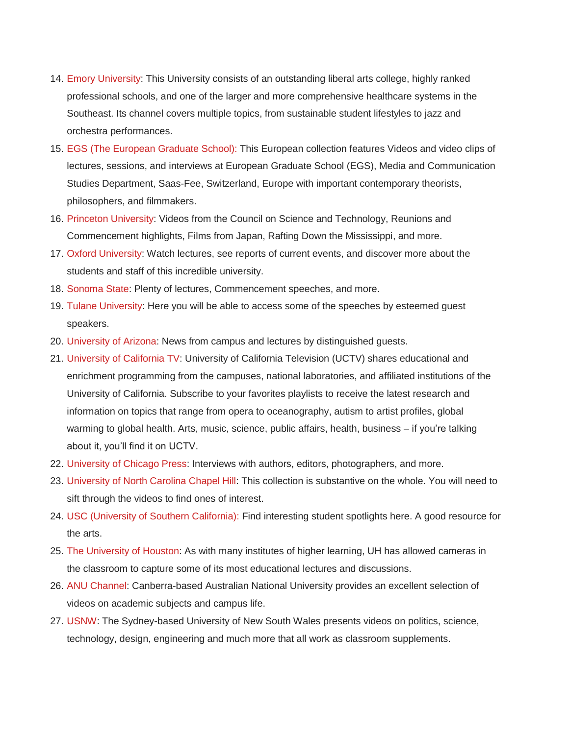- 14. [Emory University:](http://www.youtube.com/user/EmoryUniversity/about) This University consists of an outstanding liberal arts college, highly ranked professional schools, and one of the larger and more comprehensive healthcare systems in the Southeast. Its channel covers multiple topics, from sustainable student lifestyles to jazz and orchestra performances.
- 15. [EGS \(The European Graduate School\):](http://www.youtube.com/user/egsvideo) This European collection features Videos and video clips of lectures, sessions, and interviews at European Graduate School (EGS), Media and Communication Studies Department, Saas-Fee, Switzerland, Europe with important contemporary theorists, philosophers, and filmmakers.
- 16. [Princeton University:](http://www.youtube.com/user/princetonuniversity) Videos from the Council on Science and Technology, Reunions and Commencement highlights, Films from Japan, Rafting Down the Mississippi, and more.
- 17. [Oxford University:](http://www.youtube.com/user/oxford) Watch lectures, see reports of current events, and discover more about the students and staff of this incredible university.
- 18. [Sonoma State:](http://www.youtube.com/user/CSUSonoma/about) Plenty of lectures, Commencement speeches, and more.
- 19. [Tulane University:](http://www.youtube.com/user/Tulane) Here you will be able to access some of the speeches by esteemed guest speakers.
- 20. [University of Arizona:](http://www.youtube.com/user/Arizona/videos) News from campus and lectures by distinguished guests.
- 21. [University of California TV:](http://www.youtube.com/user/UCtelevision/about) University of California Television (UCTV) shares educational and enrichment programming from the campuses, national laboratories, and affiliated institutions of the University of California. Subscribe to your favorites playlists to receive the latest research and information on topics that range from opera to oceanography, autism to artist profiles, global warming to global health. Arts, music, science, public affairs, health, business – if you're talking about it, you'll find it on UCTV.
- 22. [University of Chicago Press:](http://www.youtube.com/user/ucbooks/videos) Interviews with authors, editors, photographers, and more.
- 23. [University of North Carolina Chapel Hill:](http://www.youtube.com/user/UNCChapelHill) This collection is substantive on the whole. You will need to sift through the videos to find ones of interest.
- 24. [USC \(University of Southern California\):](http://www.youtube.com/user/USC/videos) Find interesting student spotlights here. A good resource for the arts.
- 25. [The University of Houston:](http://www.youtube.com/user/UHouston) As with many institutes of higher learning, UH has allowed cameras in the classroom to capture some of its most educational lectures and discussions.
- 26. [ANU Channel:](http://www.youtube.com/user/ANUchannel) Canberra-based Australian National University provides an excellent selection of videos on academic subjects and campus life.
- 27. [USNW:](http://www.youtube.com/user/UNSW) The Sydney-based University of New South Wales presents videos on politics, science, technology, design, engineering and much more that all work as classroom supplements.